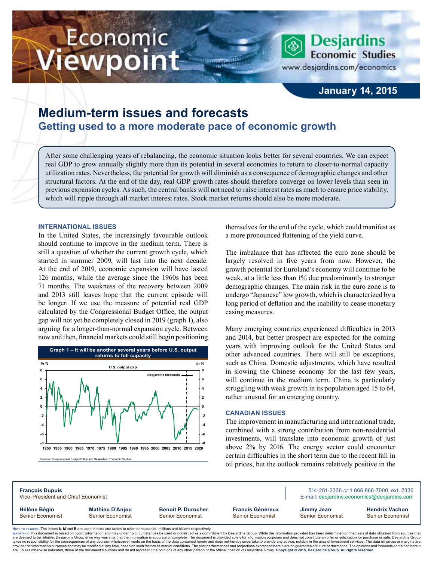# Economic iewpoint

**Desjardins Economic Studies** www.desjardins.com/economics

# **January 14, 2015**

# **Medium-term issues and forecasts Getting used to a more moderate pace of economic growth**

After some challenging years of rebalancing, the economic situation looks better for several countries. We can expect real GDP to grow annually slightly more than its potential in several economies to return to closer-to-normal capacity utilization rates. Nevertheless, the potential for growth will diminish as a consequence of demographic changes and other structural factors. At the end of the day, real GDP growth rates should therefore converge on lower levels than seen in previous expansion cycles. As such, the central banks will not need to raise interest rates as much to ensure price stability, which will ripple through all market interest rates. Stock market returns should also be more moderate.

m

#### **International issues**

In the United States, the increasingly favourable outlook should continue to improve in the medium term. There is still a question of whether the current growth cycle, which started in summer 2009, will last into the next decade. At the end of 2019, economic expansion will have lasted 126 months, while the average since the 1960s has been 71 months. The weakness of the recovery between 2009 and 2013 still leaves hope that the current episode will be longer. If we use the measure of potential real GDP calculated by the Congressional Budget Office, the output gap will not yet be completely closed in 2019 (graph 1), also arguing for a longer-than-normal expansion cycle. Between now and then, financial markets could still begin positioning



Sources: Congressional Budget Office and Desjardins, Economic Studies

themselves for the end of the cycle, which could manifest as a more pronounced flattening of the yield curve.

The imbalance that has affected the euro zone should be largely resolved in five years from now. However, the growth potential for Euroland's economy will continue to be weak, at a little less than 1% due predominantly to stronger demographic changes. The main risk in the euro zone is to undergo "Japanese" low growth, which is characterized by a long period of deflation and the inability to cease monetary easing measures.

Many emerging countries experienced difficulties in 2013 and 2014, but better prospect are expected for the coming years with improving outlook for the United States and other advanced countries. There will still be exceptions, such as China. Domestic adjustments, which have resulted in slowing the Chinese economy for the last few years, will continue in the medium term. China is particularly struggling with weak growth in its population aged 15 to 64, rather unusual for an emerging country.

#### **Canadian issues**

The improvement in manufacturing and international trade, combined with a strong contribution from non-residential investments, will translate into economic growth of just above 2% by 2016. The energy sector could encounter certain difficulties in the short term due to the recent fall in oil prices, but the outlook remains relatively positive in the

**François Dupuis** 514-281-2336 *or* 1 866 866-7000, ext. 2336 Vice-President and Chief Economist **E-mail:** designatins.com E-mail: designatins.commics@desjardins.com **Hélène Bégin Mathieu D'Anjou Benoit P. Durocher Francis Généreux Jimmy Jean Hendrix Vachon** Senior Economist Senior Economist Senior Economist Senior Economist Senior Economist Senior Economist

Noте то келоекs: The letters **k, M** and **B** are used in texts and tables to refer to thousands, millions and billions respectively.<br>Імроктлит: This document is based on public information and may under no circumstances be are deemed to be reliable. Desiardins Group in no way warrants that the information is accurate or complete. The document is provided solely for information purposes and does not constitute an offer or solicitation for pur takes no responsibility for the consequences of any decision whatsoever made on the basis of the data contained herein and does not hereby undertake to provide any advice, notably in the area of investment services. The da .<br>are, unless otherwise indicated, those of the document's authors and do not represent the opinions of any other person or the official position of Desjardins Group. Copyright © 2015, Desjardins Group. All rights reserved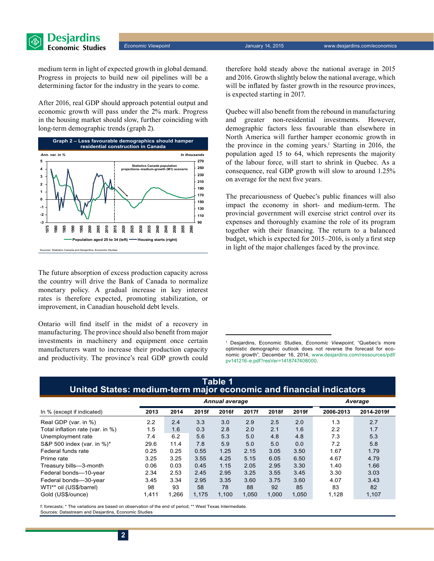

*Economic Viewpoint* January 14, 2015 www.desjardins.com/economics

medium term in light of expected growth in global demand. Progress in projects to build new oil pipelines will be a determining factor for the industry in the years to come.

After 2016, real GDP should approach potential output and economic growth will pass under the 2% mark. Progress in the housing market should slow, further coinciding with long-term demographic trends (graph 2).



The future absorption of excess production capacity across the country will drive the Bank of Canada to normalize monetary policy. A gradual increase in key interest rates is therefore expected, promoting stabilization, or improvement, in Canadian household debt levels.

Ontario will find itself in the midst of a recovery in manufacturing. The province should also benefit from major investments in machinery and equipment once certain manufacturers want to increase their production capacity and productivity. The province's real GDP growth could therefore hold steady above the national average in 2015 and 2016. Growth slightly below the national average, which will be inflated by faster growth in the resource provinces, is expected starting in 2017.

Quebec will also benefit from the rebound in manufacturing and greater non-residential investments. However, demographic factors less favourable than elsewhere in North America will further hamper economic growth in the province in the coming years.<sup>1</sup> Starting in 2016, the population aged 15 to 64, which represents the majority of the labour force, will start to shrink in Quebec. As a consequence, real GDP growth will slow to around 1.25% on average for the next five years.

The precariousness of Quebec's public finances will also impact the economy in short- and medium-term. The provincial government will exercise strict control over its expenses and thoroughly examine the role of its program together with their financing. The return to a balanced budget, which is expected for 2015–2016, is only a first step in light of the major challenges faced by the province.

|                                  | <b>Annual average</b> |       |       |       |       |       |       | Average   |            |  |
|----------------------------------|-----------------------|-------|-------|-------|-------|-------|-------|-----------|------------|--|
| In % (except if indicated)       | 2013                  | 2014  | 2015f | 2016f | 2017f | 2018f | 2019f | 2006-2013 | 2014-2019f |  |
| Real GDP (var. in %)             | 2.2                   | 2.4   | 3.3   | 3.0   | 2.9   | 2.5   | 2.0   | 1.3       | 2.7        |  |
| Total inflation rate (var. in %) | 1.5                   | 1.6   | 0.3   | 2.8   | 2.0   | 2.1   | 1.6   | 2.2       | 1.7        |  |
| Unemployment rate                | 7.4                   | 6.2   | 5.6   | 5.3   | 5.0   | 4.8   | 4.8   | 7.3       | 5.3        |  |
| S&P 500 index (var. in %)*       | 29.6                  | 11.4  | 7.8   | 5.9   | 5.0   | 5.0   | 0.0   | 7.2       | 5.8        |  |
| Federal funds rate               | 0.25                  | 0.25  | 0.55  | 1.25  | 2.15  | 3.05  | 3.50  | 1.67      | 1.79       |  |
| Prime rate                       | 3.25                  | 3.25  | 3.55  | 4.25  | 5.15  | 6.05  | 6.50  | 4.67      | 4.79       |  |
| Treasury bills-3-month           | 0.06                  | 0.03  | 0.45  | 1.15  | 2.05  | 2.95  | 3.30  | 1.40      | 1.66       |  |
| Federal bonds-10-year            | 2.34                  | 2.53  | 2.45  | 2.95  | 3.25  | 3.55  | 3.45  | 3.30      | 3.03       |  |
| Federal bonds-30-year            | 3.45                  | 3.34  | 2.95  | 3.35  | 3.60  | 3.75  | 3.60  | 4.07      | 3.43       |  |
| WTI** oil (US\$/barrel)          | 98                    | 93    | 58    | 78    | 88    | 92    | 85    | 83        | 82         |  |
| Gold (US\$/ounce)                | 1.411                 | 1.266 | 1.175 | 1,100 | 1.050 | 1.000 | 1,050 | 1,128     | 1,107      |  |

## **Table 1 United States: medium-term major economic and financial indicators**

f: forecasts; \* The variations are based on observation of the end of period; \*\* West Texas Intermediate. Sources: Datastream and Desjardins, Economic Studies

<sup>1</sup> Desjardins, Economic Studies, *Economic Viewpoint*, "Quebec's more optimistic demographic outlook does not reverse the forecast for economic growth", December 16, 2014, [www.desjardins.com/ressources/pdf/](http://www.desjardins.com/ressources/pdf/pv141216-e.pdf?resVer=1418747408000) [pv141216-e.pdf?resVer=1418747408000.](http://www.desjardins.com/ressources/pdf/pv141216-e.pdf?resVer=1418747408000)